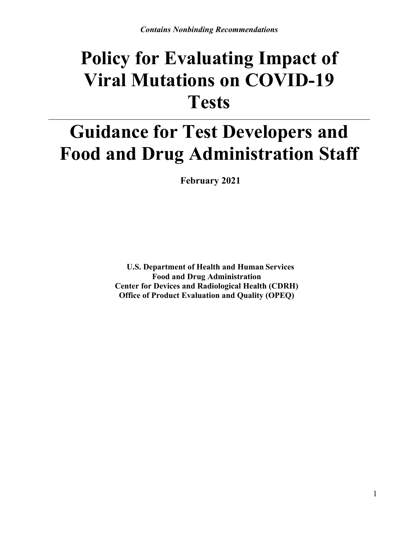# **Policy for Evaluating Impact of Viral Mutations on COVID-19 Tests**

# **Guidance for Test Developers and Food and Drug Administration Staff**

**February 2021**

**U.S. Department of Health and Human Services Food and Drug Administration Center for Devices and Radiological Health (CDRH) Office of Product Evaluation and Quality (OPEQ)**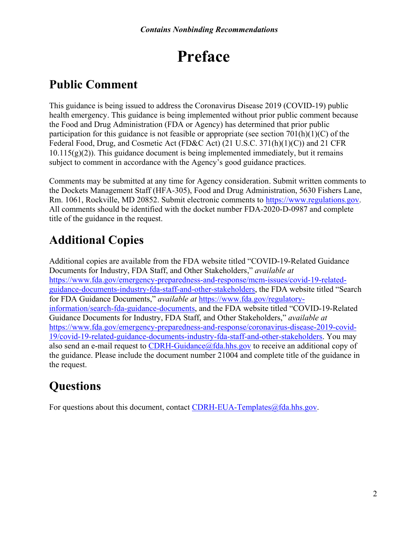## **Preface**

## **Public Comment**

This guidance is being issued to address the Coronavirus Disease 2019 (COVID-19) public health emergency. This guidance is being implemented without prior public comment because the Food and Drug Administration (FDA or Agency) has determined that prior public participation for this guidance is not feasible or appropriate (see section  $701(h)(1)(C)$  of the Federal Food, Drug, and Cosmetic Act (FD&C Act) (21 U.S.C. 371(h)(1)(C)) and 21 CFR  $10.115(g)(2)$ ). This guidance document is being implemented immediately, but it remains subject to comment in accordance with the Agency's good guidance practices.

Comments may be submitted at any time for Agency consideration. Submit written comments to the Dockets Management Staff (HFA-305), Food and Drug Administration, 5630 Fishers Lane, Rm. 1061, Rockville, MD 20852. Submit electronic comments to [https://www.regulations.gov.](https://www.regulations.gov/) All comments should be identified with the docket number FDA-2020-D-0987 and complete title of the guidance in the request.

## **Additional Copies**

Additional copies are available from the FDA website titled "COVID-19-Related Guidance Documents for Industry, FDA Staff, and Other Stakeholders," *available at* [https://www.fda.gov/emergency-preparedness-and-response/mcm-issues/covid-19-related](https://www.fda.gov/emergency-preparedness-and-response/mcm-issues/covid-19-related-guidance-documents-industry-fda-staff-and-other-stakeholders)[guidance-documents-industry-fda-staff-and-other-stakeholders](https://www.fda.gov/emergency-preparedness-and-response/mcm-issues/covid-19-related-guidance-documents-industry-fda-staff-and-other-stakeholders), the FDA website titled "Search for FDA Guidance Documents," *available at* [https://www.fda.gov/regulatory](https://www.fda.gov/regulatory-information/search-fda-guidance-documents)[information/search-fda-guidance-documents](https://www.fda.gov/regulatory-information/search-fda-guidance-documents), and the FDA website titled "COVID-19-Related Guidance Documents for Industry, FDA Staff, and Other Stakeholders," *available at* [https://www.fda.gov/emergency-preparedness-and-response/coronavirus-disease-2019-covid-](https://www.fda.gov/emergency-preparedness-and-response/coronavirus-disease-2019-covid-19/covid-19-related-guidance-documents-industry-fda-staff-and-other-stakeholders)[19/covid-19-related-guidance-documents-industry-fda-staff-and-other-stakeholders.](https://www.fda.gov/emergency-preparedness-and-response/coronavirus-disease-2019-covid-19/covid-19-related-guidance-documents-industry-fda-staff-and-other-stakeholders) You may also send an e-mail request to [CDRH-Guidance@fda.hhs.gov](mailto:CDRH-Guidance@fda.hhs.gov) to receive an additional copy of the guidance. Please include the document number 21004 and complete title of the guidance in the request.

## **Questions**

For questions about this document, contact [CDRH-EUA-Templates@fda.hhs.gov](mailto:CDRH-EUA-Templates@fda.hhs.gov).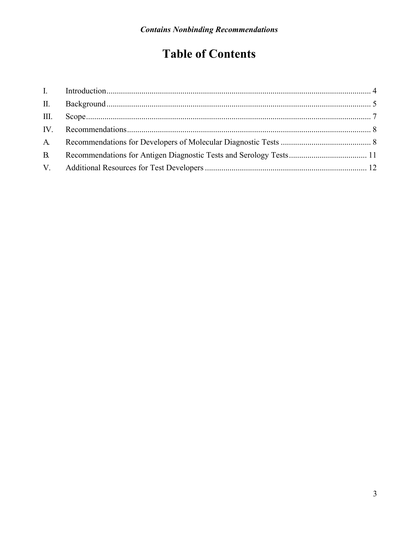## **Table of Contents**

| $\mathbf{B}$ |  |
|--------------|--|
|              |  |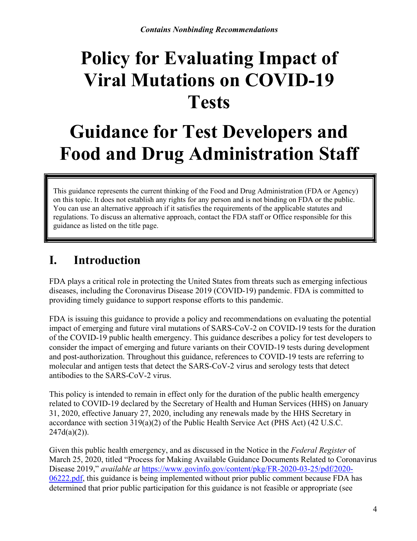# **Policy for Evaluating Impact of Viral Mutations on COVID-19 Tests**

# **Guidance for Test Developers and Food and Drug Administration Staff**

This guidance represents the current thinking of the Food and Drug Administration (FDA or Agency) on this topic. It does not establish any rights for any person and is not binding on FDA or the public. You can use an alternative approach if it satisfies the requirements of the applicable statutes and regulations. To discuss an alternative approach, contact the FDA staff or Office responsible for this guidance as listed on the title page.

## <span id="page-3-0"></span>**I. Introduction**

FDA plays a critical role in protecting the United States from threats such as emerging infectious diseases, including the Coronavirus Disease 2019 (COVID-19) pandemic. FDA is committed to providing timely guidance to support response efforts to this pandemic.

FDA is issuing this guidance to provide a policy and recommendations on evaluating the potential impact of emerging and future viral mutations of SARS-CoV-2 on COVID-19 tests for the duration of the COVID-19 public health emergency. This guidance describes a policy for test developers to consider the impact of emerging and future variants on their COVID-19 tests during development and post-authorization. Throughout this guidance, references to COVID-19 tests are referring to molecular and antigen tests that detect the SARS-CoV-2 virus and serology tests that detect antibodies to the SARS-CoV-2 virus.

This policy is intended to remain in effect only for the duration of the public health emergency related to COVID-19 declared by the Secretary of Health and Human Services (HHS) on January 31, 2020, effective January 27, 2020, including any renewals made by the HHS Secretary in accordance with section 319(a)(2) of the Public Health Service Act (PHS Act) (42 U.S.C.  $247d(a)(2)$ ).

Given this public health emergency, and as discussed in the Notice in the *Federal Register* of March 25, 2020, titled "Process for Making Available Guidance Documents Related to Coronavirus Disease 2019," *available at* [https://www.govinfo.gov/content/pkg/FR-2020-03-25/pdf/2020-](https://www.govinfo.gov/content/pkg/FR-2020-03-25/pdf/2020-06222.pdf) [06222.pdf,](https://www.govinfo.gov/content/pkg/FR-2020-03-25/pdf/2020-06222.pdf) this guidance is being implemented without prior public comment because FDA has determined that prior public participation for this guidance is not feasible or appropriate (see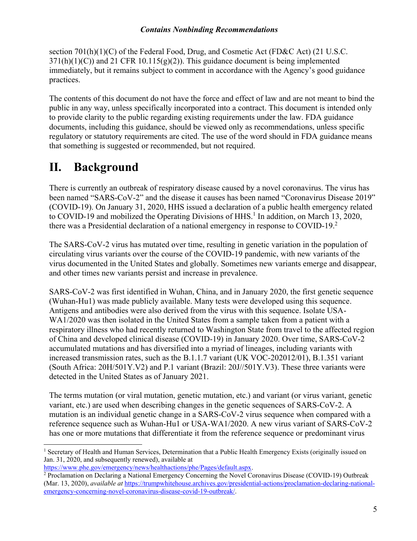section  $701(h)(1)(C)$  of the Federal Food, Drug, and Cosmetic Act (FD&C Act) (21 U.S.C.  $371(h)(1)(C)$ ) and 21 CFR 10.115(g)(2)). This guidance document is being implemented immediately, but it remains subject to comment in accordance with the Agency's good guidance practices.

The contents of this document do not have the force and effect of law and are not meant to bind the public in any way, unless specifically incorporated into a contract. This document is intended only to provide clarity to the public regarding existing requirements under the law. FDA guidance documents, including this guidance, should be viewed only as recommendations, unless specific regulatory or statutory requirements are cited. The use of the word should in FDA guidance means that something is suggested or recommended, but not required.

## <span id="page-4-0"></span>**II. Background**

 $\overline{a}$ 

There is currently an outbreak of respiratory disease caused by a novel coronavirus. The virus has been named "SARS-CoV-2" and the disease it causes has been named "Coronavirus Disease 2019" (COVID-19). On January 31, 2020, HHS issued a declaration of a public health emergency related to COVID-[1](#page-4-1)9 and mobilized the Operating Divisions of HHS.<sup>1</sup> In addition, on March 13, 2020, there was a Presidential declaration of a national emergency in response to COVID-19. $2$ 

The SARS-CoV-2 virus has mutated over time, resulting in genetic variation in the population of circulating virus variants over the course of the COVID-19 pandemic, with new variants of the virus documented in the United States and globally. Sometimes new variants emerge and disappear, and other times new variants persist and increase in prevalence.

SARS-CoV-2 was first identified in Wuhan, China, and in January 2020, the first genetic sequence (Wuhan-Hu1) was made publicly available. Many tests were developed using this sequence. Antigens and antibodies were also derived from the virus with this sequence. Isolate USA-WA1/2020 was then isolated in the United States from a sample taken from a patient with a respiratory illness who had recently returned to Washington State from travel to the affected region of China and developed clinical disease (COVID-19) in January 2020. Over time, SARS-CoV-2 accumulated mutations and has diversified into a myriad of lineages, including variants with increased transmission rates, such as the B.1.1.7 variant (UK VOC-202012/01), B.1.351 variant (South Africa: 20H/501Y.V2) and P.1 variant (Brazil: 20J//501Y.V3). These three variants were detected in the United States as of January 2021.

The terms mutation (or viral mutation, genetic mutation, etc.) and variant (or virus variant, genetic variant, etc.) are used when describing changes in the genetic sequences of SARS-CoV-2. A mutation is an individual genetic change in a SARS-CoV-2 virus sequence when compared with a reference sequence such as Wuhan-Hu1 or USA-WA1/2020. A new virus variant of SARS-CoV-2 has one or more mutations that differentiate it from the reference sequence or predominant virus

```
https://www.phe.gov/emergency/news/healthactions/phe/Pages/default.aspx.
```
<span id="page-4-1"></span><sup>&</sup>lt;sup>1</sup> Secretary of Health and Human Services, Determination that a Public Health Emergency Exists (originally issued on Jan. 31, 2020, and subsequently renewed), available at

<span id="page-4-2"></span><sup>&</sup>lt;sup>2</sup> Proclamation on Declaring a National Emergency Concerning the Novel Coronavirus Disease (COVID-19) Outbreak (Mar. 13, 2020), *available at* [https://trumpwhitehouse.archives.gov/presidential-actions/proclamation-declaring-national](https://trumpwhitehouse.archives.gov/presidential-actions/proclamation-declaring-national-emergency-concerning-novel-coronavirus-disease-covid-19-outbreak/)[emergency-concerning-novel-coronavirus-disease-covid-19-outbreak/.](https://trumpwhitehouse.archives.gov/presidential-actions/proclamation-declaring-national-emergency-concerning-novel-coronavirus-disease-covid-19-outbreak/)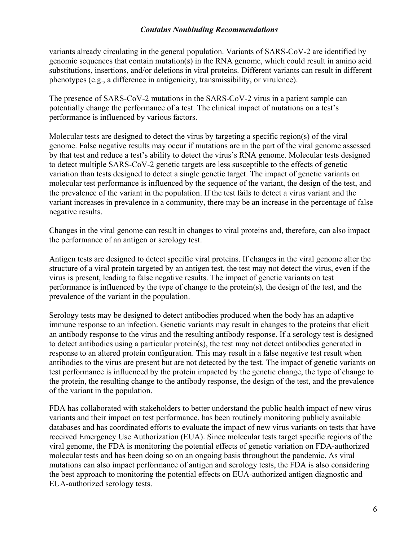variants already circulating in the general population. Variants of SARS-CoV-2 are identified by genomic sequences that contain mutation(s) in the RNA genome, which could result in amino acid substitutions, insertions, and/or deletions in viral proteins. Different variants can result in different phenotypes (e.g., a difference in antigenicity, transmissibility, or virulence).

The presence of SARS-CoV-2 mutations in the SARS-CoV-2 virus in a patient sample can potentially change the performance of a test. The clinical impact of mutations on a test's performance is influenced by various factors.

Molecular tests are designed to detect the virus by targeting a specific region(s) of the viral genome. False negative results may occur if mutations are in the part of the viral genome assessed by that test and reduce a test's ability to detect the virus's RNA genome. Molecular tests designed to detect multiple SARS-CoV-2 genetic targets are less susceptible to the effects of genetic variation than tests designed to detect a single genetic target. The impact of genetic variants on molecular test performance is influenced by the sequence of the variant, the design of the test, and the prevalence of the variant in the population. If the test fails to detect a virus variant and the variant increases in prevalence in a community, there may be an increase in the percentage of false negative results.

Changes in the viral genome can result in changes to viral proteins and, therefore, can also impact the performance of an antigen or serology test.

Antigen tests are designed to detect specific viral proteins. If changes in the viral genome alter the structure of a viral protein targeted by an antigen test, the test may not detect the virus, even if the virus is present, leading to false negative results. The impact of genetic variants on test performance is influenced by the type of change to the protein(s), the design of the test, and the prevalence of the variant in the population.

Serology tests may be designed to detect antibodies produced when the body has an adaptive immune response to an infection. Genetic variants may result in changes to the proteins that elicit an antibody response to the virus and the resulting antibody response. If a serology test is designed to detect antibodies using a particular protein(s), the test may not detect antibodies generated in response to an altered protein configuration. This may result in a false negative test result when antibodies to the virus are present but are not detected by the test. The impact of genetic variants on test performance is influenced by the protein impacted by the genetic change, the type of change to the protein, the resulting change to the antibody response, the design of the test, and the prevalence of the variant in the population.

FDA has collaborated with stakeholders to better understand the public health impact of new virus variants and their impact on test performance, has been routinely monitoring publicly available databases and has coordinated efforts to evaluate the impact of new virus variants on tests that have received Emergency Use Authorization (EUA). Since molecular tests target specific regions of the viral genome, the FDA is monitoring the potential effects of genetic variation on FDA-authorized molecular tests and has been doing so on an ongoing basis throughout the pandemic. As viral mutations can also impact performance of antigen and serology tests, the FDA is also considering the best approach to monitoring the potential effects on EUA-authorized antigen diagnostic and EUA-authorized serology tests.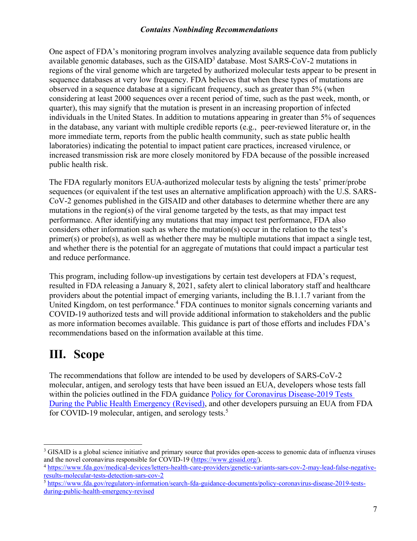One aspect of FDA's monitoring program involves analyzing available sequence data from publicly available genomic databases, such as the  $GISAID<sup>3</sup>$  $GISAID<sup>3</sup>$  $GISAID<sup>3</sup>$  database. Most  $SARS-CoV-2$  mutations in regions of the viral genome which are targeted by authorized molecular tests appear to be present in sequence databases at very low frequency. FDA believes that when these types of mutations are observed in a sequence database at a significant frequency, such as greater than 5% (when considering at least 2000 sequences over a recent period of time, such as the past week, month, or quarter), this may signify that the mutation is present in an increasing proportion of infected individuals in the United States. In addition to mutations appearing in greater than 5% of sequences in the database, any variant with multiple credible reports (e.g., peer-reviewed literature or, in the more immediate term, reports from the public health community, such as state public health laboratories) indicating the potential to impact patient care practices, increased virulence, or increased transmission risk are more closely monitored by FDA because of the possible increased public health risk.

The FDA regularly monitors EUA-authorized molecular tests by aligning the tests' primer/probe sequences (or equivalent if the test uses an alternative amplification approach) with the U.S. SARS-CoV-2 genomes published in the GISAID and other databases to determine whether there are any mutations in the region(s) of the viral genome targeted by the tests, as that may impact test performance. After identifying any mutations that may impact test performance, FDA also considers other information such as where the mutation(s) occur in the relation to the test's primer(s) or probe(s), as well as whether there may be multiple mutations that impact a single test, and whether there is the potential for an aggregate of mutations that could impact a particular test and reduce performance.

This program, including follow-up investigations by certain test developers at FDA's request, resulted in FDA releasing a January 8, 2021, safety alert to clinical laboratory staff and healthcare providers about the potential impact of emerging variants, including the B.1.1.7 variant from the United Kingdom, on test performance.<sup>[4](#page-6-2)</sup> FDA continues to monitor signals concerning variants and COVID-19 authorized tests and will provide additional information to stakeholders and the public as more information becomes available. This guidance is part of those efforts and includes FDA's recommendations based on the information available at this time.

## <span id="page-6-0"></span>**III. Scope**

The recommendations that follow are intended to be used by developers of SARS-CoV-2 molecular, antigen, and serology tests that have been issued an EUA, developers whose tests fall within the policies outlined in the FDA guidance Policy for Coronavirus Disease-2019 Tests [During the Public Health Emergency \(Revised\),](https://www.fda.gov/regulatory-information/search-fda-guidance-documents/policy-coronavirus-disease-2019-tests-during-public-health-emergency-revised) and other developers pursuing an EUA from FDA for COVID-19 molecular, antigen, and serology tests.<sup>[5](#page-6-3)</sup>

<span id="page-6-1"></span> $\overline{a}$ <sup>3</sup> GISAID is a global science initiative and primary source that provides open-access to genomic data of influenza viruses and the novel coronavirus responsible for COVID-19 [\(https://www.gisaid.org/\)](https://www.gisaid.org/).

<span id="page-6-2"></span><sup>4</sup> [https://www.fda.gov/medical-devices/letters-health-care-providers/genetic-variants-sars-cov-2-may-lead-false-negative](https://www.fda.gov/medical-devices/letters-health-care-providers/genetic-variants-sars-cov-2-may-lead-false-negative-results-molecular-tests-detection-sars-cov-2)[results-molecular-tests-detection-sars-cov-2](https://www.fda.gov/medical-devices/letters-health-care-providers/genetic-variants-sars-cov-2-may-lead-false-negative-results-molecular-tests-detection-sars-cov-2)

<span id="page-6-3"></span><sup>&</sup>lt;sup>5</sup> [https://www.fda.gov/regulatory-information/search-fda-guidance-documents/policy-coronavirus-disease-2019-tests](https://www.fda.gov/regulatory-information/search-fda-guidance-documents/policy-coronavirus-disease-2019-tests-during-public-health-emergency-revised)[during-public-health-emergency-revised](https://www.fda.gov/regulatory-information/search-fda-guidance-documents/policy-coronavirus-disease-2019-tests-during-public-health-emergency-revised)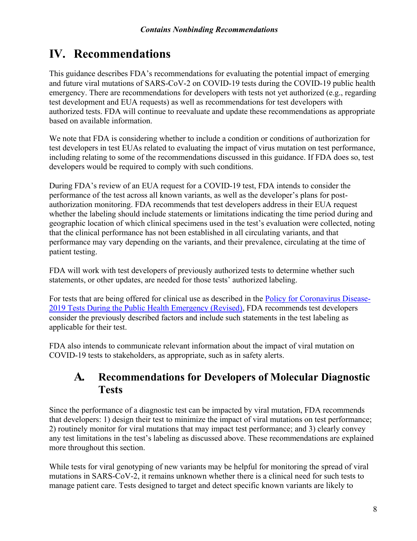## <span id="page-7-0"></span>**IV. Recommendations**

This guidance describes FDA's recommendations for evaluating the potential impact of emerging and future viral mutations of SARS-CoV-2 on COVID-19 tests during the COVID-19 public health emergency. There are recommendations for developers with tests not yet authorized (e.g., regarding test development and EUA requests) as well as recommendations for test developers with authorized tests. FDA will continue to reevaluate and update these recommendations as appropriate based on available information.

We note that FDA is considering whether to include a condition or conditions of authorization for test developers in test EUAs related to evaluating the impact of virus mutation on test performance, including relating to some of the recommendations discussed in this guidance. If FDA does so, test developers would be required to comply with such conditions.

During FDA's review of an EUA request for a COVID-19 test, FDA intends to consider the performance of the test across all known variants, as well as the developer's plans for postauthorization monitoring. FDA recommends that test developers address in their EUA request whether the labeling should include statements or limitations indicating the time period during and geographic location of which clinical specimens used in the test's evaluation were collected, noting that the clinical performance has not been established in all circulating variants, and that performance may vary depending on the variants, and their prevalence, circulating at the time of patient testing.

FDA will work with test developers of previously authorized tests to determine whether such statements, or other updates, are needed for those tests' authorized labeling.

For tests that are being offered for clinical use as described in the <u>Policy for Coronavirus Disease</u>-[2019 Tests During the Public Health Emergency \(Revised\),](https://www.fda.gov/regulatory-information/search-fda-guidance-documents/policy-coronavirus-disease-2019-tests-during-public-health-emergency-revised) FDA recommends test developers consider the previously described factors and include such statements in the test labeling as applicable for their test.

FDA also intends to communicate relevant information about the impact of viral mutation on COVID-19 tests to stakeholders, as appropriate, such as in safety alerts.

### <span id="page-7-1"></span>**A. Recommendations for Developers of Molecular Diagnostic Tests**

Since the performance of a diagnostic test can be impacted by viral mutation, FDA recommends that developers: 1) design their test to minimize the impact of viral mutations on test performance; 2) routinely monitor for viral mutations that may impact test performance; and 3) clearly convey any test limitations in the test's labeling as discussed above. These recommendations are explained more throughout this section.

While tests for viral genotyping of new variants may be helpful for monitoring the spread of viral mutations in SARS-CoV-2, it remains unknown whether there is a clinical need for such tests to manage patient care. Tests designed to target and detect specific known variants are likely to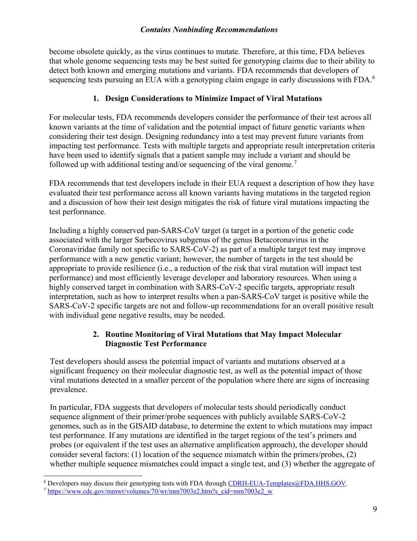become obsolete quickly, as the virus continues to mutate. Therefore, at this time, FDA believes that whole genome sequencing tests may be best suited for genotyping claims due to their ability to detect both known and emerging mutations and variants. FDA recommends that developers of sequencing tests pursuing an EUA with a genotyping claim engage in early discussions with FDA.<sup>[6](#page-8-0)</sup>

#### **1. Design Considerations to Minimize Impact of Viral Mutations**

For molecular tests, FDA recommends developers consider the performance of their test across all known variants at the time of validation and the potential impact of future genetic variants when considering their test design. Designing redundancy into a test may prevent future variants from impacting test performance. Tests with multiple targets and appropriate result interpretation criteria have been used to identify signals that a patient sample may include a variant and should be followed up with additional testing and/or sequencing of the viral genome.<sup>[7](#page-8-1)</sup>

FDA recommends that test developers include in their EUA request a description of how they have evaluated their test performance across all known variants having mutations in the targeted region and a discussion of how their test design mitigates the risk of future viral mutations impacting the test performance.

Including a highly conserved pan-SARS-CoV target (a target in a portion of the genetic code associated with the larger Sarbecovirus subgenus of the genus Betacoronavirus in the Coronaviridae family not specific to SARS-CoV-2) as part of a multiple target test may improve performance with a new genetic variant; however, the number of targets in the test should be appropriate to provide resilience (i.e., a reduction of the risk that viral mutation will impact test performance) and most efficiently leverage developer and laboratory resources. When using a highly conserved target in combination with SARS-CoV-2 specific targets, appropriate result interpretation, such as how to interpret results when a pan-SARS-CoV target is positive while the SARS-CoV-2 specific targets are not and follow-up recommendations for an overall positive result with individual gene negative results, may be needed.

### **2. Routine Monitoring of Viral Mutations that May Impact Molecular Diagnostic Test Performance**

Test developers should assess the potential impact of variants and mutations observed at a significant frequency on their molecular diagnostic test, as well as the potential impact of those viral mutations detected in a smaller percent of the population where there are signs of increasing prevalence.

In particular, FDA suggests that developers of molecular tests should periodically conduct sequence alignment of their primer/probe sequences with publicly available SARS-CoV-2 genomes, such as in the GISAID database, to determine the extent to which mutations may impact test performance. If any mutations are identified in the target regions of the test's primers and probes (or equivalent if the test uses an alternative amplification approach), the developer should consider several factors: (1) location of the sequence mismatch within the primers/probes, (2) whether multiple sequence mismatches could impact a single test, and (3) whether the aggregate of

<span id="page-8-1"></span><span id="page-8-0"></span> $\ddot{ }$ <sup>6</sup> Developers may discuss their genotyping tests with FDA through [CDRH-EUA-Templates@FDA.HHS.GOV](mailto:CDRH-EUA-Templates@fda.hhs.gov). <sup>7</sup> [https://www.cdc.gov/mmwr/volumes/70/wr/mm7003e2.htm?s\\_cid=mm7003e2\\_w](https://www.cdc.gov/mmwr/volumes/70/wr/mm7003e2.htm?s_cid=mm7003e2_w)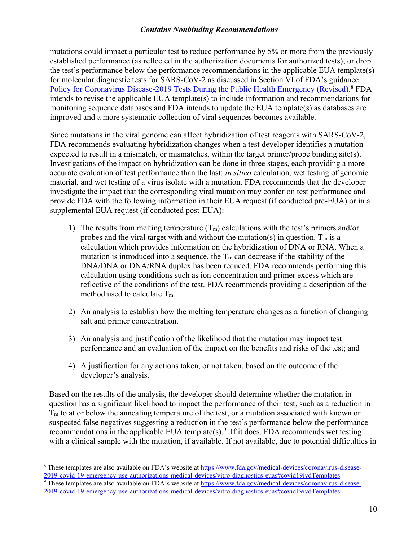mutations could impact a particular test to reduce performance by 5% or more from the previously established performance (as reflected in the authorization documents for authorized tests), or drop the test's performance below the performance recommendations in the applicable EUA template(s) for molecular diagnostic tests for SARS-CoV-2 as discussed in Section VI of FDA's guidance [Policy for Coronavirus Disease-2019 Tests During the Public Health Emergency \(Revised\)](https://www.fda.gov/regulatory-information/search-fda-guidance-documents/policy-coronavirus-disease-2019-tests-during-public-health-emergency-revised).<sup>[8](#page-9-0)</sup> FDA intends to revise the applicable EUA template(s) to include information and recommendations for monitoring sequence databases and FDA intends to update the EUA template(s) as databases are improved and a more systematic collection of viral sequences becomes available.

Since mutations in the viral genome can affect hybridization of test reagents with SARS-CoV-2, FDA recommends evaluating hybridization changes when a test developer identifies a mutation expected to result in a mismatch, or mismatches, within the target primer/probe binding site(s). Investigations of the impact on hybridization can be done in three stages, each providing a more accurate evaluation of test performance than the last: *in silico* calculation, wet testing of genomic material, and wet testing of a virus isolate with a mutation. FDA recommends that the developer investigate the impact that the corresponding viral mutation may confer on test performance and provide FDA with the following information in their EUA request (if conducted pre-EUA) or in a supplemental EUA request (if conducted post-EUA):

- 1) The results from melting temperature  $(T_m)$  calculations with the test's primers and/or probes and the viral target with and without the mutation(s) in question.  $T_m$  is a calculation which provides information on the hybridization of DNA or RNA. When a mutation is introduced into a sequence, the  $T_m$  can decrease if the stability of the DNA/DNA or DNA/RNA duplex has been reduced. FDA recommends performing this calculation using conditions such as ion concentration and primer excess which are reflective of the conditions of the test. FDA recommends providing a description of the method used to calculate T<sub>m</sub>.
- 2) An analysis to establish how the melting temperature changes as a function of changing salt and primer concentration.
- 3) An analysis and justification of the likelihood that the mutation may impact test performance and an evaluation of the impact on the benefits and risks of the test; and
- 4) A justification for any actions taken, or not taken, based on the outcome of the developer's analysis.

Based on the results of the analysis, the developer should determine whether the mutation in question has a significant likelihood to impact the performance of their test, such as a reduction in  $T<sub>m</sub>$  to at or below the annealing temperature of the test, or a mutation associated with known or suspected false negatives suggesting a reduction in the test's performance below the performance recommendations in the applicable EUA template(s).<sup>[9](#page-9-1)</sup> If it does, FDA recommends wet testing with a clinical sample with the mutation, if available. If not available, due to potential difficulties in

<span id="page-9-0"></span> $\overline{a}$ <sup>8</sup> These templates are also available on FDA's website at [https://www.fda.gov/medical-devices/coronavirus-disease-](https://www.fda.gov/medical-devices/coronavirus-disease-2019-covid-19-emergency-use-authorizations-medical-devices/vitro-diagnostics-euas)[2019-covid-19-emergency-use-authorizations-medical-devices/vitro-diagnostics-euas#covid19ivdTemplates.](https://www.fda.gov/medical-devices/coronavirus-disease-2019-covid-19-emergency-use-authorizations-medical-devices/vitro-diagnostics-euas)

<span id="page-9-1"></span><sup>&</sup>lt;sup>9</sup> These templates are also available on FDA's website at [https://www.fda.gov/medical-devices/coronavirus-disease-](https://www.fda.gov/medical-devices/coronavirus-disease-2019-covid-19-emergency-use-authorizations-medical-devices/vitro-diagnostics-euas)[2019-covid-19-emergency-use-authorizations-medical-devices/vitro-diagnostics-euas#covid19ivdTemplates.](https://www.fda.gov/medical-devices/coronavirus-disease-2019-covid-19-emergency-use-authorizations-medical-devices/vitro-diagnostics-euas)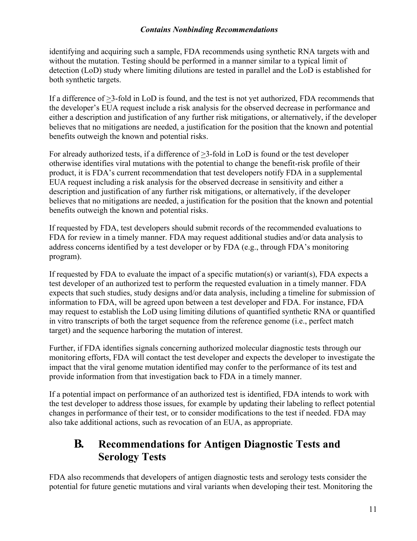identifying and acquiring such a sample, FDA recommends using synthetic RNA targets with and without the mutation. Testing should be performed in a manner similar to a typical limit of detection (LoD) study where limiting dilutions are tested in parallel and the LoD is established for both synthetic targets.

If a difference of >3-fold in LoD is found, and the test is not yet authorized, FDA recommends that the developer's EUA request include a risk analysis for the observed decrease in performance and either a description and justification of any further risk mitigations, or alternatively, if the developer believes that no mitigations are needed, a justification for the position that the known and potential benefits outweigh the known and potential risks.

For already authorized tests, if a difference of >3-fold in LoD is found or the test developer otherwise identifies viral mutations with the potential to change the benefit-risk profile of their product, it is FDA's current recommendation that test developers notify FDA in a supplemental EUA request including a risk analysis for the observed decrease in sensitivity and either a description and justification of any further risk mitigations, or alternatively, if the developer believes that no mitigations are needed, a justification for the position that the known and potential benefits outweigh the known and potential risks.

If requested by FDA, test developers should submit records of the recommended evaluations to FDA for review in a timely manner. FDA may request additional studies and/or data analysis to address concerns identified by a test developer or by FDA (e.g., through FDA's monitoring program).

If requested by FDA to evaluate the impact of a specific mutation(s) or variant(s), FDA expects a test developer of an authorized test to perform the requested evaluation in a timely manner. FDA expects that such studies, study designs and/or data analysis, including a timeline for submission of information to FDA, will be agreed upon between a test developer and FDA. For instance, FDA may request to establish the LoD using limiting dilutions of quantified synthetic RNA or quantified in vitro transcripts of both the target sequence from the reference genome (i.e., perfect match target) and the sequence harboring the mutation of interest.

Further, if FDA identifies signals concerning authorized molecular diagnostic tests through our monitoring efforts, FDA will contact the test developer and expects the developer to investigate the impact that the viral genome mutation identified may confer to the performance of its test and provide information from that investigation back to FDA in a timely manner.

If a potential impact on performance of an authorized test is identified, FDA intends to work with the test developer to address those issues, for example by updating their labeling to reflect potential changes in performance of their test, or to consider modifications to the test if needed. FDA may also take additional actions, such as revocation of an EUA, as appropriate.

### <span id="page-10-0"></span>**B. Recommendations for Antigen Diagnostic Tests and Serology Tests**

FDA also recommends that developers of antigen diagnostic tests and serology tests consider the potential for future genetic mutations and viral variants when developing their test. Monitoring the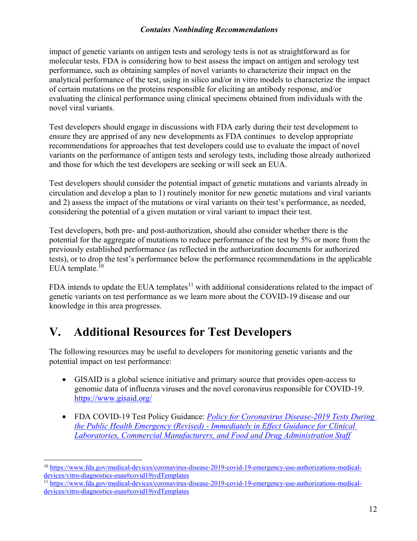impact of genetic variants on antigen tests and serology tests is not as straightforward as for molecular tests. FDA is considering how to best assess the impact on antigen and serology test performance, such as obtaining samples of novel variants to characterize their impact on the analytical performance of the test, using in silico and/or in vitro models to characterize the impact of certain mutations on the proteins responsible for eliciting an antibody response, and/or evaluating the clinical performance using clinical specimens obtained from individuals with the novel viral variants.

Test developers should engage in discussions with FDA early during their test development to ensure they are apprised of any new developments as FDA continues to develop appropriate recommendations for approaches that test developers could use to evaluate the impact of novel variants on the performance of antigen tests and serology tests, including those already authorized and those for which the test developers are seeking or will seek an EUA.

Test developers should consider the potential impact of genetic mutations and variants already in circulation and develop a plan to 1) routinely monitor for new genetic mutations and viral variants and 2) assess the impact of the mutations or viral variants on their test's performance, as needed, considering the potential of a given mutation or viral variant to impact their test.

Test developers, both pre- and post-authorization, should also consider whether there is the potential for the aggregate of mutations to reduce performance of the test by 5% or more from the previously established performance (as reflected in the authorization documents for authorized tests), or to drop the test's performance below the performance recommendations in the applicable EUA template. $10$ 

FDA intends to update the EUA templates<sup>[11](#page-11-2)</sup> with additional considerations related to the impact of genetic variants on test performance as we learn more about the COVID-19 disease and our knowledge in this area progresses.

## <span id="page-11-0"></span>**V. Additional Resources for Test Developers**

The following resources may be useful to developers for monitoring genetic variants and the potential impact on test performance:

- · GISAID is a global science initiative and primary source that provides open-access to genomic data of influenza viruses and the novel coronavirus responsible for COVID-19. <https://www.gisaid.org/>
- · FDA COVID-19 Test Policy Guidance: *[Policy for Coronavirus Disease-2019 Tests During](https://www.fda.gov/regulatory-information/search-fda-guidance-documents/policy-coronavirus-disease-2019-tests-during-public-health-emergency-revised)  the Public Health Emergency (Revised) - [Immediately in Effect Guidance for Clinical](https://www.fda.gov/regulatory-information/search-fda-guidance-documents/policy-coronavirus-disease-2019-tests-during-public-health-emergency-revised)  [Laboratories, Commercial Manufacturers, and Food and Drug Administration Staff](https://www.fda.gov/regulatory-information/search-fda-guidance-documents/policy-coronavirus-disease-2019-tests-during-public-health-emergency-revised)*

<span id="page-11-1"></span> $\overline{a}$ <sup>10</sup> [https://www.fda.gov/medical-devices/coronavirus-disease-2019-covid-19-emergency-use-authorizations-medical](https://www.fda.gov/medical-devices/coronavirus-disease-2019-covid-19-emergency-use-authorizations-medical-devices/vitro-diagnostics-euas)[devices/vitro-diagnostics-euas#covid19ivdTemplates](https://www.fda.gov/medical-devices/coronavirus-disease-2019-covid-19-emergency-use-authorizations-medical-devices/vitro-diagnostics-euas)

<span id="page-11-2"></span><sup>11</sup> [https://www.fda.gov/medical-devices/coronavirus-disease-2019-covid-19-emergency-use-authorizations-medical](https://www.fda.gov/medical-devices/coronavirus-disease-2019-covid-19-emergency-use-authorizations-medical-devices/vitro-diagnostics-euas)[devices/vitro-diagnostics-euas#covid19ivdTemplates](https://www.fda.gov/medical-devices/coronavirus-disease-2019-covid-19-emergency-use-authorizations-medical-devices/vitro-diagnostics-euas)